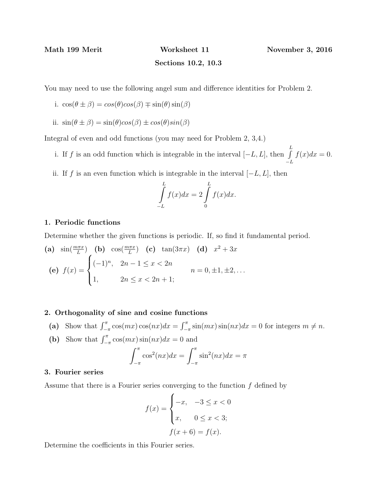$-L$ 

## Sections 10.2, 10.3

You may need to use the following angel sum and difference identities for Problem 2.

- i.  $\cos(\theta \pm \beta) = \cos(\theta)\cos(\beta) \mp \sin(\theta)\sin(\beta)$
- ii.  $\sin(\theta \pm \beta) = \sin(\theta)\cos(\beta) \pm \cos(\theta)\sin(\beta)$

Integral of even and odd functions (you may need for Problem 2, 3,4.)

- i. If f is an odd function which is integrable in the interval  $[-L, L]$ , then  $\int_{-L}^{L}$  $f(x)dx = 0.$
- ii. If f is an even function which is integrable in the interval  $[-L, L]$ , then

$$
\int_{-L}^{L} f(x)dx = 2 \int_{0}^{L} f(x)dx.
$$

#### 1. Periodic functions

Determine whether the given functions is periodic. If, so find it fundamental period.

(a) 
$$
\sin(\frac{m\pi x}{L})
$$
 (b)  $\cos(\frac{m\pi x}{L})$  (c)  $\tan(3\pi x)$  (d)  $x^2 + 3x$   
\n(e)  $f(x) =\begin{cases} (-1)^n, & 2n - 1 \le x < 2n \\ 1, & 2n \le x < 2n + 1 \end{cases}$   $n = 0, \pm 1, \pm 2, ...$ 

### 2. Orthogonality of sine and cosine functions

- (a) Show that  $\int_{-\pi}^{\pi} \cos(mx)\cos(nx)dx = \int_{-\pi}^{\pi} \sin(mx)\sin(nx)dx = 0$  for integers  $m \neq n$ .
- (b) Show that  $\int_{-\pi}^{\pi} \cos(mx)\sin(nx)dx = 0$  and

$$
\int_{-\pi}^{\pi} \cos^2(nx) dx = \int_{-\pi}^{\pi} \sin^2(nx) dx = \pi
$$

#### 3. Fourier series

Assume that there is a Fourier series converging to the function  $f$  defined by

$$
f(x) = \begin{cases} -x, & -3 \le x < 0 \\ x, & 0 \le x < 3; \end{cases}
$$

$$
f(x+6) = f(x).
$$

Determine the coefficients in this Fourier series.